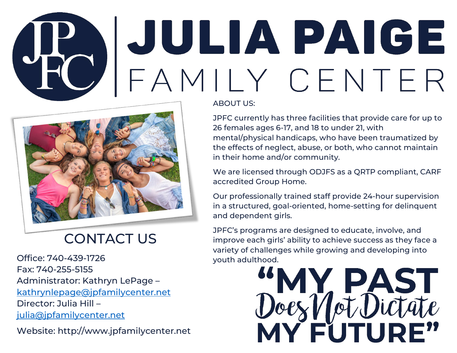# **ABOUT A PAIGE**



# CONTACT US

Office: 740-439-1726 Fax: 740-255-5155 Administrator: Kathryn LePage – [kathrynlepage@jpfamilycenter.net](mailto:kathrynlepage@jpfamilycenter.net) Director: Julia Hill – [julia@jpfamilycenter.net](mailto:julia@jpfamilycenter.net)

Website: http://www.jpfamilycenter.net

JPFC currently has three facilities that provide care for up to 26 females ages 6-17, and 18 to under 21, with mental/physical handicaps, who have been traumatized by the effects of neglect, abuse, or both, who cannot maintain in their home and/or community.

We are licensed through ODJFS as a QRTP compliant, CARF accredited Group Home.

Our professionally trained staff provide 24-hour supervision in a structured, goal-oriented, home-setting for delinquent and dependent girls.

JPFC's programs are designed to educate, involve, and improve each girls' ability to achieve success as they face a variety of challenges while growing and developing into